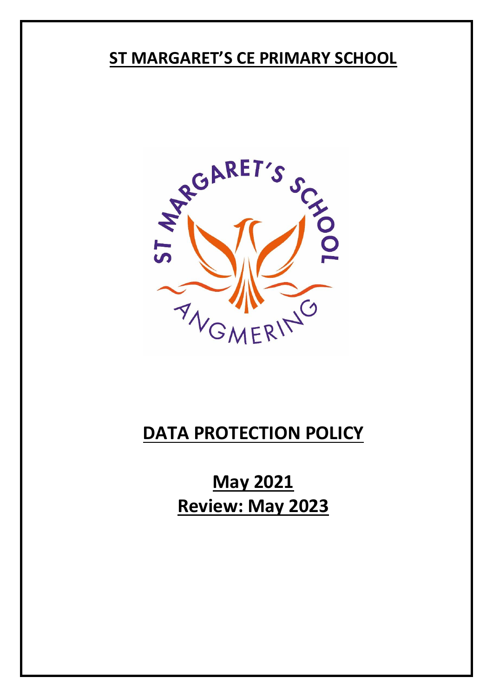# **ST MARGARET'S CE PRIMARY SCHOOL**



# **DATA PROTECTION POLICY**

**May 2021 Review: May 2023**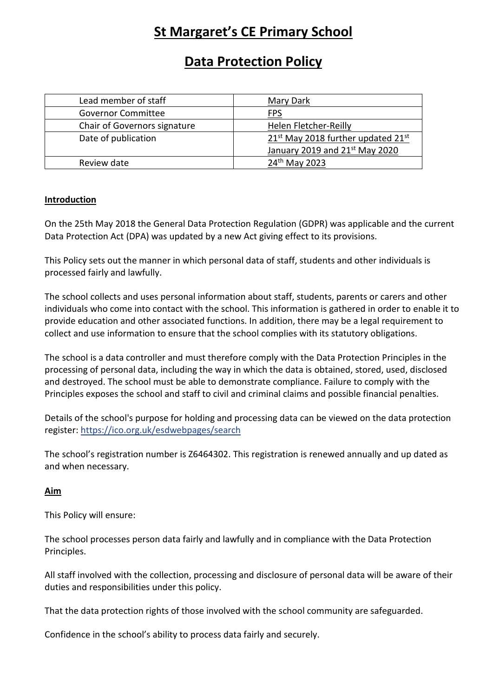# **St Margaret's CE Primary School**

## **Data Protection Policy**

| Lead member of staff         | Mary Dark                                                  |
|------------------------------|------------------------------------------------------------|
| <b>Governor Committee</b>    | FPS                                                        |
| Chair of Governors signature | Helen Fletcher-Reilly                                      |
| Date of publication          | 21 <sup>st</sup> May 2018 further updated 21 <sup>st</sup> |
|                              | January 2019 and 21st May 2020                             |
| Review date                  | 24 <sup>th</sup> May 2023                                  |

### **Introduction**

On the 25th May 2018 the General Data Protection Regulation (GDPR) was applicable and the current Data Protection Act (DPA) was updated by a new Act giving effect to its provisions.

This Policy sets out the manner in which personal data of staff, students and other individuals is processed fairly and lawfully.

The school collects and uses personal information about staff, students, parents or carers and other individuals who come into contact with the school. This information is gathered in order to enable it to provide education and other associated functions. In addition, there may be a legal requirement to collect and use information to ensure that the school complies with its statutory obligations.

The school is a data controller and must therefore comply with the Data Protection Principles in the processing of personal data, including the way in which the data is obtained, stored, used, disclosed and destroyed. The school must be able to demonstrate compliance. Failure to comply with the Principles exposes the school and staff to civil and criminal claims and possible financial penalties.

Details of the school's purpose for holding and processing data can be viewed on the data protection register:<https://ico.org.uk/esdwebpages/search>

The school's registration number is Z6464302. This registration is renewed annually and up dated as and when necessary.

### **Aim**

This Policy will ensure:

The school processes person data fairly and lawfully and in compliance with the Data Protection Principles.

All staff involved with the collection, processing and disclosure of personal data will be aware of their duties and responsibilities under this policy.

That the data protection rights of those involved with the school community are safeguarded.

Confidence in the school's ability to process data fairly and securely.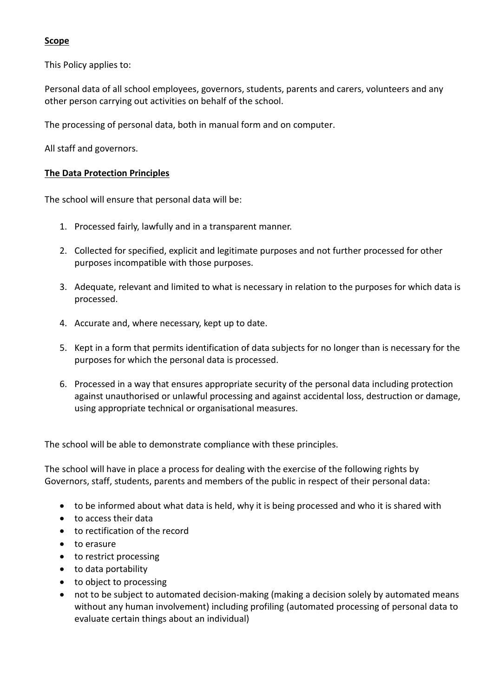#### **Scope**

This Policy applies to:

Personal data of all school employees, governors, students, parents and carers, volunteers and any other person carrying out activities on behalf of the school.

The processing of personal data, both in manual form and on computer.

All staff and governors.

#### **The Data Protection Principles**

The school will ensure that personal data will be:

- 1. Processed fairly, lawfully and in a transparent manner.
- 2. Collected for specified, explicit and legitimate purposes and not further processed for other purposes incompatible with those purposes.
- 3. Adequate, relevant and limited to what is necessary in relation to the purposes for which data is processed.
- 4. Accurate and, where necessary, kept up to date.
- 5. Kept in a form that permits identification of data subjects for no longer than is necessary for the purposes for which the personal data is processed.
- 6. Processed in a way that ensures appropriate security of the personal data including protection against unauthorised or unlawful processing and against accidental loss, destruction or damage, using appropriate technical or organisational measures.

The school will be able to demonstrate compliance with these principles.

The school will have in place a process for dealing with the exercise of the following rights by Governors, staff, students, parents and members of the public in respect of their personal data:

- to be informed about what data is held, why it is being processed and who it is shared with
- to access their data
- to rectification of the record
- to erasure
- to restrict processing
- to data portability
- to object to processing
- not to be subject to automated decision-making (making a decision solely by automated means without any human involvement) including profiling (automated processing of personal data to evaluate certain things about an individual)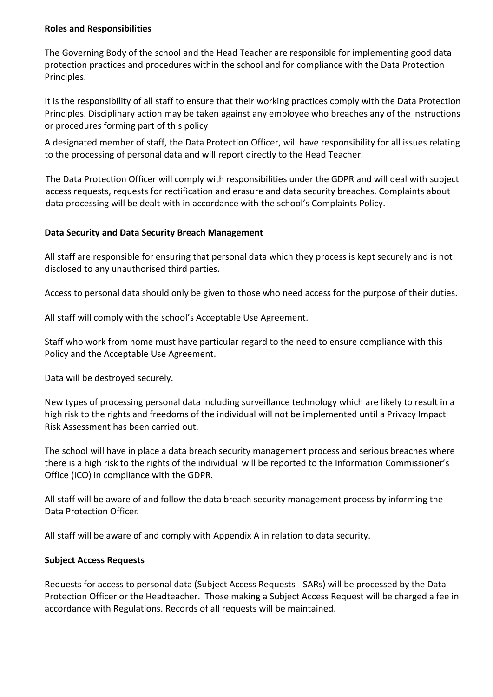#### **Roles and Responsibilities**

The Governing Body of the school and the Head Teacher are responsible for implementing good data protection practices and procedures within the school and for compliance with the Data Protection Principles.

It is the responsibility of all staff to ensure that their working practices comply with the Data Protection Principles. Disciplinary action may be taken against any employee who breaches any of the instructions or procedures forming part of this policy

A designated member of staff, the Data Protection Officer, will have responsibility for all issues relating to the processing of personal data and will report directly to the Head Teacher.

The Data Protection Officer will comply with responsibilities under the GDPR and will deal with subject access requests, requests for rectification and erasure and data security breaches. Complaints about data processing will be dealt with in accordance with the school's Complaints Policy.

#### **Data Security and Data Security Breach Management**

All staff are responsible for ensuring that personal data which they process is kept securely and is not disclosed to any unauthorised third parties.

Access to personal data should only be given to those who need access for the purpose of their duties.

All staff will comply with the school's Acceptable Use Agreement.

Staff who work from home must have particular regard to the need to ensure compliance with this Policy and the Acceptable Use Agreement.

Data will be destroyed securely.

New types of processing personal data including surveillance technology which are likely to result in a high risk to the rights and freedoms of the individual will not be implemented until a Privacy Impact Risk Assessment has been carried out.

The school will have in place a data breach security management process and serious breaches where there is a high risk to the rights of the individual will be reported to the Information Commissioner's Office (ICO) in compliance with the GDPR.

All staff will be aware of and follow the data breach security management process by informing the Data Protection Officer.

All staff will be aware of and comply with Appendix A in relation to data security.

#### **Subject Access Requests**

Requests for access to personal data (Subject Access Requests - SARs) will be processed by the Data Protection Officer or the Headteacher. Those making a Subject Access Request will be charged a fee in accordance with Regulations. Records of all requests will be maintained.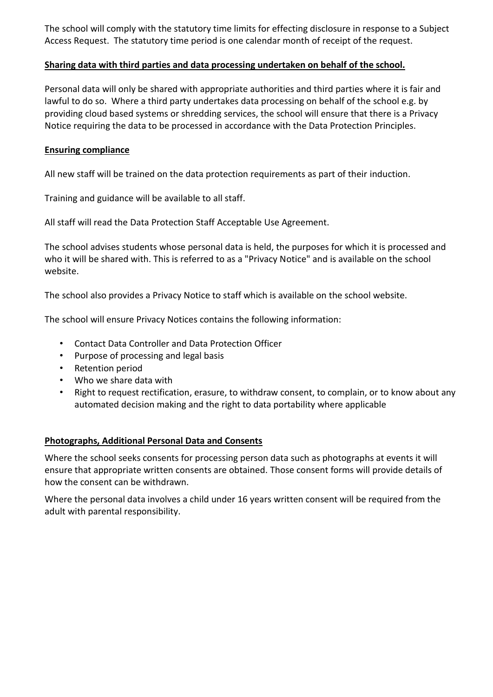The school will comply with the statutory time limits for effecting disclosure in response to a Subject Access Request. The statutory time period is one calendar month of receipt of the request.

#### **Sharing data with third parties and data processing undertaken on behalf of the school.**

Personal data will only be shared with appropriate authorities and third parties where it is fair and lawful to do so. Where a third party undertakes data processing on behalf of the school e.g. by providing cloud based systems or shredding services, the school will ensure that there is a Privacy Notice requiring the data to be processed in accordance with the Data Protection Principles.

#### **Ensuring compliance**

All new staff will be trained on the data protection requirements as part of their induction.

Training and guidance will be available to all staff.

All staff will read the Data Protection Staff Acceptable Use Agreement.

The school advises students whose personal data is held, the purposes for which it is processed and who it will be shared with. This is referred to as a "Privacy Notice" and is available on the school website.

The school also provides a Privacy Notice to staff which is available on the school website.

The school will ensure Privacy Notices contains the following information:

- Contact Data Controller and Data Protection Officer
- Purpose of processing and legal basis
- Retention period
- Who we share data with
- Right to request rectification, erasure, to withdraw consent, to complain, or to know about any automated decision making and the right to data portability where applicable

#### **Photographs, Additional Personal Data and Consents**

Where the school seeks consents for processing person data such as photographs at events it will ensure that appropriate written consents are obtained. Those consent forms will provide details of how the consent can be withdrawn.

Where the personal data involves a child under 16 years written consent will be required from the adult with parental responsibility.